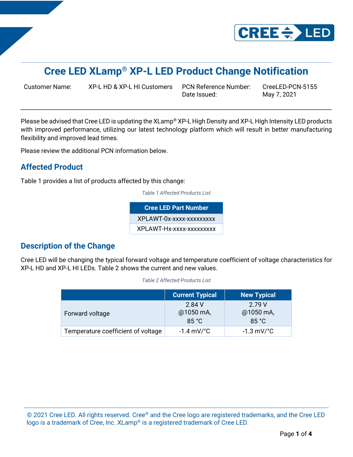

# **Cree LED XLamp® XP-L LED Product Change Notification**

Customer Name: XP-L HD & XP-L HI Customers PCN Reference Number: CreeLED-PCN-5155

Date Issued: May 7, 2021

Please be advised that Cree LED is updating the XLamp® XP-L High Density and XP-L High Intensity LED products with improved performance, utilizing our latest technology platform which will result in better manufacturing flexibility and improved lead times.

Please review the additional PCN information below.

### **Affected Product**

Table 1 provides a list of products affected by this change:

*Table 1 Affected Products List*

**Cree LED Part Number** XPLAWT-0x-xxxx-xxxxxxxxx XPLAWT-Hx-xxxx-xxxxxxxxx

### **Description of the Change**

Cree LED will be changing the typical forward voltage and temperature coefficient of voltage characteristics for XP-L HD and XP-L HI LEDs. Table 2 shows the current and new values.

|                                    | <b>Current Typical</b>       | <b>New Typical</b>           |
|------------------------------------|------------------------------|------------------------------|
| Forward voltage                    | 2.84 V<br>@1050 mA,<br>85 °C | 2.79 V<br>@1050 mA,<br>85 °C |
| Temperature coefficient of voltage | $-1.4 \text{ mV}$ °C         | $-1.3 \text{ mV}$ °C         |

*Table 2 Affected Products List*

© 2021 Cree LED. All rights reserved. Cree® and the Cree logo are registered trademarks, and the Cree LED logo is a trademark of Cree, Inc. XLamp® is a registered trademark of Cree LED.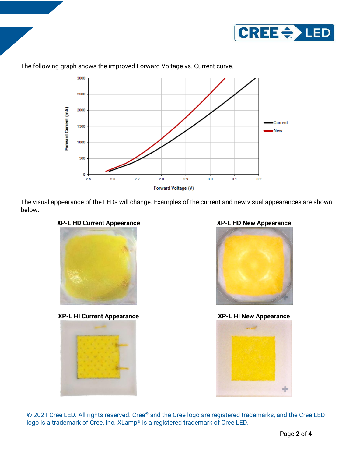



### The following graph shows the improved Forward Voltage vs. Current curve.

The visual appearance of the LEDs will change. Examples of the current and new visual appearances are shown below.





**XP-L HI Current Appearance XP-L HI New Appearance**







© 2021 Cree LED. All rights reserved. Cree® and the Cree logo are registered trademarks, and the Cree LED logo is a trademark of Cree, Inc. XLamp® is a registered trademark of Cree LED.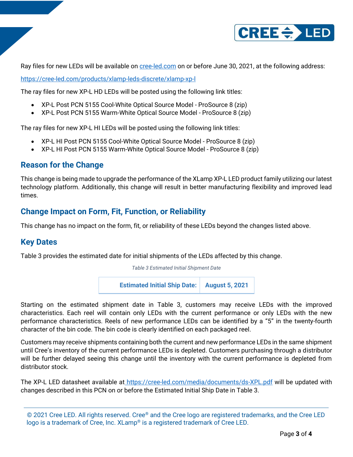

Ray files for new LEDs will be available on [cree-led.com](https://.cree-led.com/) on or before June 30, 2021, at the following address:

<https://cree-led.com/products/xlamp-leds-discrete/xlamp-xp-l>

The ray files for new XP-L HD LEDs will be posted using the following link titles:

- XP-L Post PCN 5155 Cool-White Optical Source Model ProSource 8 (zip)
- XP-L Post PCN 5155 Warm-White Optical Source Model ProSource 8 (zip)

The ray files for new XP-L HI LEDs will be posted using the following link titles:

- XP-L HI Post PCN 5155 Cool-White Optical Source Model ProSource 8 (zip)
- XP-L HI Post PCN 5155 Warm-White Optical Source Model ProSource 8 (zip)

### **Reason for the Change**

This change is being made to upgrade the performance of the XLamp XP-L LED product family utilizing our latest technology platform. Additionally, this change will result in better manufacturing flexibility and improved lead times.

### **Change Impact on Form, Fit, Function, or Reliability**

This change has no impact on the form, fit, or reliability of these LEDs beyond the changes listed above.

### **Key Dates**

Table 3 provides the estimated date for initial shipments of the LEDs affected by this change.

*Table 3 Estimated Initial Shipment Date*



Starting on the estimated shipment date in Table 3, customers may receive LEDs with the improved characteristics. Each reel will contain only LEDs with the current performance or only LEDs with the new performance characteristics. Reels of new performance LEDs can be identified by a "5" in the twenty-fourth character of the bin code. The bin code is clearly identified on each packaged reel.

Customers may receive shipments containing both the current and new performance LEDs in the same shipment until Cree's inventory of the current performance LEDs is depleted. Customers purchasing through a distributor will be further delayed seeing this change until the inventory with the current performance is depleted from distributor stock.

The XP-L LED datasheet available at <https://cree-led.com/media/documents/ds-XPL.pdf> will be updated with changes described in this PCN on or before the Estimated Initial Ship Date in Table 3.

<sup>© 2021</sup> Cree LED. All rights reserved. Cree® and the Cree logo are registered trademarks, and the Cree LED logo is a trademark of Cree, Inc. XLamp® is a registered trademark of Cree LED.